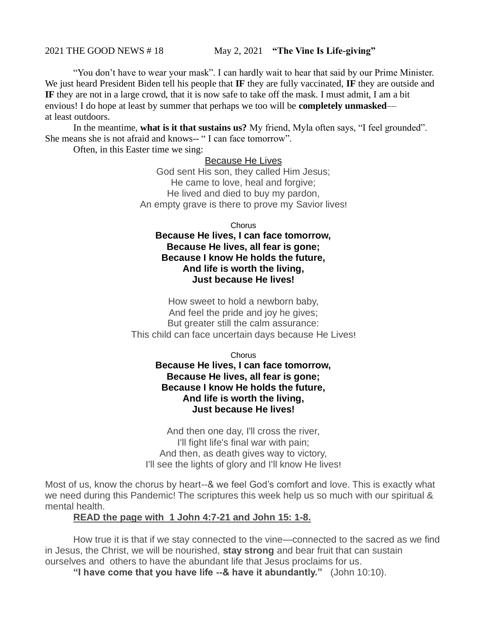2021 THE GOOD NEWS # 18 May 2, 2021 **"The Vine Is Life-giving"**

"You don't have to wear your mask". I can hardly wait to hear that said by our Prime Minister. We just heard President Biden tell his people that **IF** they are fully vaccinated, **IF** they are outside and **IF** they are not in a large crowd, that it is now safe to take off the mask. I must admit, I am a bit envious! I do hope at least by summer that perhaps we too will be **completely unmasked** at least outdoors.

In the meantime, **what is it that sustains us?** My friend, Myla often says, "I feel grounded". She means she is not afraid and knows-- " I can face tomorrow".

Often, in this Easter time we sing:

Because He Lives

God sent His son, they called Him Jesus; He came to love, heal and forgive; He lived and died to buy my pardon, An empty grave is there to prove my Savior lives!

Chorus

**Because He lives, I can face tomorrow, Because He lives, all fear is gone; Because I know He holds the future, And life is worth the living, Just because He lives!**

How sweet to hold a newborn baby, And feel the pride and joy he gives; But greater still the calm assurance: This child can face uncertain days because He Lives!

**Chorus** 

**Because He lives, I can face tomorrow, Because He lives, all fear is gone; Because I know He holds the future, And life is worth the living, Just because He lives!**

And then one day, I'll cross the river, I'll fight life's final war with pain; And then, as death gives way to victory, I'll see the lights of glory and I'll know He lives!

Most of us, know the chorus by heart--& we feel God's comfort and love. This is exactly what we need during this Pandemic! The scriptures this week help us so much with our spiritual & mental health.

**READ the page with 1 John 4:7-21 and John 15: 1-8.**

How true it is that if we stay connected to the vine—connected to the sacred as we find in Jesus, the Christ, we will be nourished, **stay strong** and bear fruit that can sustain ourselves and others to have the abundant life that Jesus proclaims for us.

**"I have come that you have life --& have it abundantly."** (John 10:10).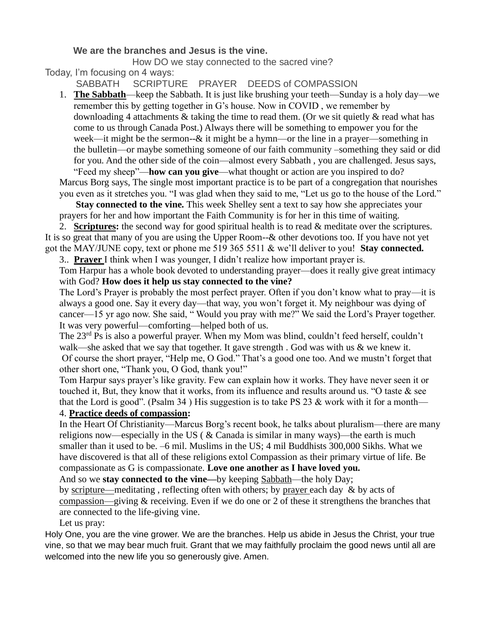### **We are the branches and Jesus is the vine.**

How DO we stay connected to the sacred vine?

Today, I'm focusing on 4 ways:

SABBATH SCRIPTURE PRAYER DEEDS of COMPASSION

1. **The Sabbath**—keep the Sabbath. It is just like brushing your teeth—Sunday is a holy day—we remember this by getting together in G's house. Now in COVID , we remember by downloading 4 attachments  $\&$  taking the time to read them. (Or we sit quietly  $\&$  read what has come to us through Canada Post.) Always there will be something to empower you for the week—it might be the sermon-- $\&$  it might be a hymn—or the line in a prayer—something in the bulletin—or maybe something someone of our faith community –something they said or did for you. And the other side of the coin—almost every Sabbath , you are challenged. Jesus says, "Feed my sheep"—**how can you give**—what thought or action are you inspired to do?

Marcus Borg says, The single most important practice is to be part of a congregation that nourishes you even as it stretches you. "I was glad when they said to me, "Let us go to the house of the Lord."

**Stay connected to the vine.** This week Shelley sent a text to say how she appreciates your prayers for her and how important the Faith Community is for her in this time of waiting.

2. **Scriptures:** the second way for good spiritual health is to read & meditate over the scriptures. It is so great that many of you are using the Upper Room--& other devotions too. If you have not yet got the MAY/JUNE copy, text or phone me 519 365 5511 & we'll deliver to you! **Stay connected.**

3.. **Prayer** I think when I was younger, I didn't realize how important prayer is. Tom Harpur has a whole book devoted to understanding prayer—does it really give great intimacy with God? **How does it help us stay connected to the vine?**

The Lord's Prayer is probably the most perfect prayer. Often if you don't know what to pray—it is always a good one. Say it every day—that way, you won't forget it. My neighbour was dying of cancer—15 yr ago now. She said, " Would you pray with me?" We said the Lord's Prayer together. It was very powerful—comforting—helped both of us.

The 23<sup>rd</sup> Ps is also a powerful prayer. When my Mom was blind, couldn't feed herself, couldn't walk—she asked that we say that together. It gave strength . God was with us & we knew it. Of course the short prayer, "Help me, O God." That's a good one too. And we mustn't forget that other short one, "Thank you, O God, thank you!"

Tom Harpur says prayer's like gravity. Few can explain how it works. They have never seen it or touched it, But, they know that it works, from its influence and results around us. "O taste & see that the Lord is good". (Psalm 34) His suggestion is to take PS 23  $\&$  work with it for a month—

## 4. **Practice deeds of compassion:**

In the Heart Of Christianity—Marcus Borg's recent book, he talks about pluralism—there are many religions now—especially in the US ( $\&$  Canada is similar in many ways)—the earth is much smaller than it used to be. –6 mil. Muslims in the US; 4 mil Buddhists 300,000 Sikhs. What we have discovered is that all of these religions extol Compassion as their primary virtue of life. Be compassionate as G is compassionate. **Love one another as I have loved you.**

And so we **stay connected to the vine—**by keeping Sabbath—the holy Day;

by scripture—meditating , reflecting often with others; by prayer each day & by acts of compassion—giving & receiving. Even if we do one or 2 of these it strengthens the branches that are connected to the life-giving vine.

Let us pray:

Holy One, you are the vine grower. We are the branches. Help us abide in Jesus the Christ, your true vine, so that we may bear much fruit. Grant that we may faithfully proclaim the good news until all are welcomed into the new life you so generously give. Amen.